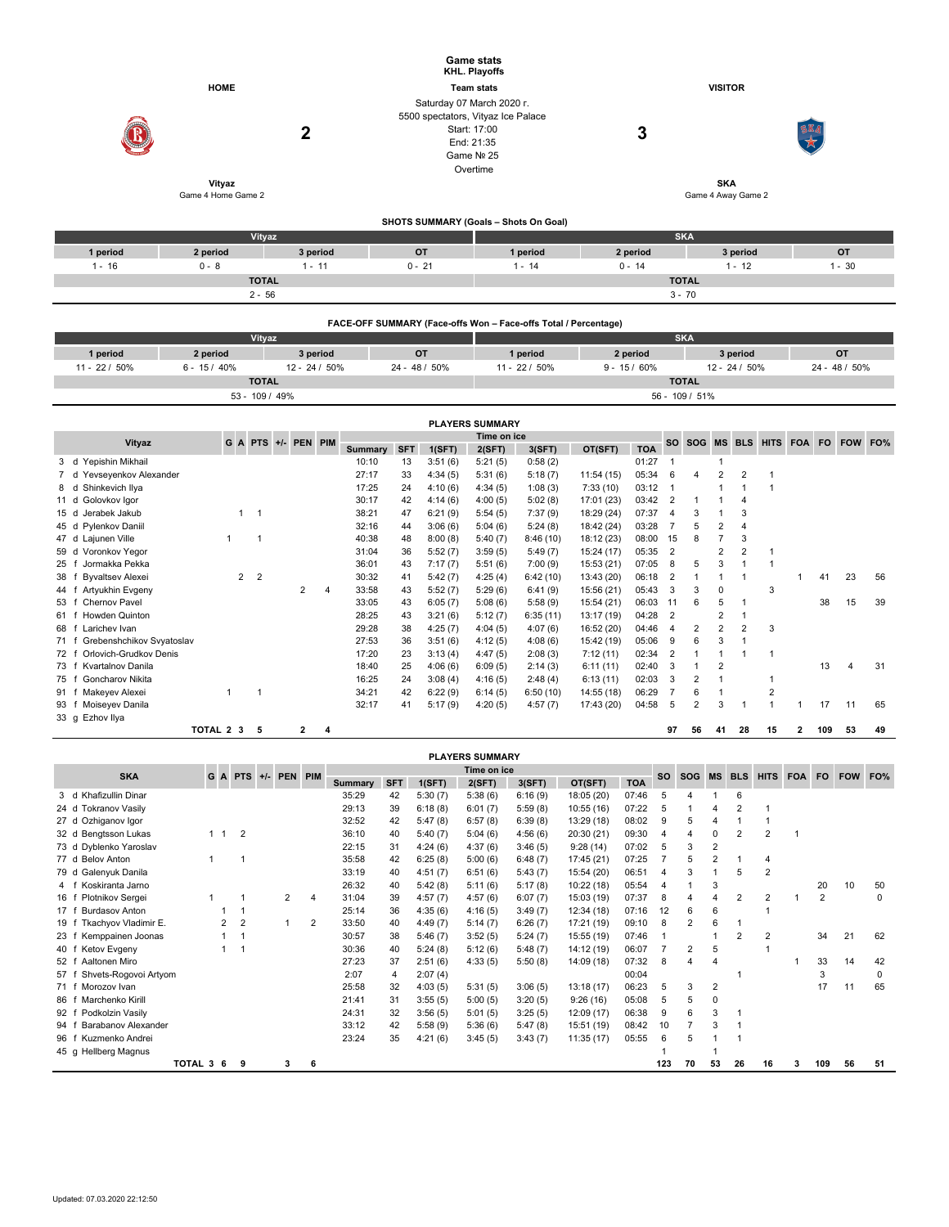|                                               |                    |                |                     |               |                |                   |                    | <b>Game stats</b><br><b>KHL. Playoffs</b> |                                       |                                                                 |                |                         |                    |                                         |                     |                              |              |           |               |     |
|-----------------------------------------------|--------------------|----------------|---------------------|---------------|----------------|-------------------|--------------------|-------------------------------------------|---------------------------------------|-----------------------------------------------------------------|----------------|-------------------------|--------------------|-----------------------------------------|---------------------|------------------------------|--------------|-----------|---------------|-----|
|                                               | <b>HOME</b>        |                |                     |               |                |                   |                    |                                           |                                       |                                                                 |                |                         |                    |                                         |                     |                              |              |           |               |     |
|                                               |                    |                |                     |               |                | <b>Team stats</b> |                    |                                           |                                       |                                                                 |                |                         |                    | <b>VISITOR</b>                          |                     |                              |              |           |               |     |
|                                               |                    |                |                     |               |                |                   |                    | Saturday 07 March 2020 r.                 |                                       |                                                                 |                |                         |                    |                                         |                     |                              |              |           |               |     |
|                                               |                    |                |                     |               |                |                   |                    | 5500 spectators, Vityaz Ice Palace        |                                       |                                                                 |                |                         |                    |                                         |                     |                              |              |           |               |     |
|                                               |                    |                | $\overline{2}$      |               |                |                   |                    | Start: 17:00                              |                                       |                                                                 | 3              |                         |                    |                                         |                     |                              |              |           |               |     |
|                                               |                    |                |                     |               |                |                   |                    | End: 21:35                                |                                       |                                                                 |                |                         |                    |                                         |                     |                              |              |           |               |     |
|                                               |                    |                |                     |               |                |                   |                    | Game Nº 25                                |                                       |                                                                 |                |                         |                    |                                         |                     |                              |              |           |               |     |
|                                               |                    |                |                     |               |                |                   |                    | Overtime                                  |                                       |                                                                 |                |                         |                    |                                         |                     |                              |              |           |               |     |
|                                               | Vityaz             |                |                     |               |                |                   |                    |                                           |                                       |                                                                 |                |                         |                    | <b>SKA</b>                              |                     |                              |              |           |               |     |
|                                               | Game 4 Home Game 2 |                |                     |               |                |                   |                    |                                           |                                       |                                                                 |                |                         | Game 4 Away Game 2 |                                         |                     |                              |              |           |               |     |
|                                               |                    |                |                     |               |                |                   |                    |                                           |                                       |                                                                 |                |                         |                    |                                         |                     |                              |              |           |               |     |
|                                               |                    |                |                     |               |                |                   |                    |                                           | SHOTS SUMMARY (Goals - Shots On Goal) |                                                                 |                |                         |                    |                                         |                     |                              |              |           |               |     |
|                                               |                    | Vityaz         |                     |               |                |                   |                    |                                           |                                       |                                                                 |                |                         | <b>SKA</b>         |                                         |                     |                              |              |           |               |     |
| 1 period                                      | 2 period           |                |                     | 3 period      |                |                   | OT                 |                                           | 1 period                              |                                                                 | 2 period       |                         |                    |                                         | 3 period            |                              |              |           | OT            |     |
| $1 - 16$                                      | $0 - 8$            |                |                     | $1 - 11$      |                | $0 - 21$          |                    |                                           | $1 - 14$                              |                                                                 | $0 - 14$       |                         |                    |                                         | $1 - 12$            |                              |              |           | $1 - 30$      |     |
|                                               |                    | <b>TOTAL</b>   |                     |               |                |                   |                    |                                           |                                       |                                                                 |                |                         | <b>TOTAL</b>       |                                         |                     |                              |              |           |               |     |
|                                               |                    | $2 - 56$       |                     |               |                |                   |                    |                                           |                                       |                                                                 |                | $3 - 70$                |                    |                                         |                     |                              |              |           |               |     |
|                                               |                    |                |                     |               |                |                   |                    |                                           |                                       |                                                                 |                |                         |                    |                                         |                     |                              |              |           |               |     |
|                                               |                    |                |                     |               |                |                   |                    |                                           |                                       | FACE-OFF SUMMARY (Face-offs Won - Face-offs Total / Percentage) |                |                         |                    |                                         |                     |                              |              |           |               |     |
|                                               |                    | Vityaz         |                     |               |                |                   |                    |                                           |                                       |                                                                 |                |                         | <b>SKA</b>         |                                         |                     |                              |              |           |               |     |
| 1 period                                      | 2 period           |                |                     | 3 period      |                |                   | OT                 |                                           | 1 period                              |                                                                 | 2 period       |                         |                    |                                         | 3 period            |                              | OT           |           |               |     |
| 11 - 22 / 50%                                 | $6 - 15/40%$       |                |                     | 12 - 24 / 50% |                | $24 - 48 / 50\%$  |                    |                                           | 11 - 22 / 50%                         |                                                                 | $9 - 15/60\%$  |                         |                    |                                         | $12 - 24 / 50\%$    |                              |              |           | 24 - 48 / 50% |     |
|                                               |                    |                |                     |               |                |                   |                    |                                           |                                       |                                                                 |                |                         | <b>TOTAL</b>       |                                         |                     |                              |              |           |               |     |
|                                               |                    | <b>TOTAL</b>   |                     |               |                |                   |                    |                                           |                                       |                                                                 |                |                         |                    |                                         |                     |                              |              |           |               |     |
|                                               |                    | 53 - 109 / 49% |                     |               |                |                   |                    |                                           |                                       |                                                                 |                |                         | 56 - 109 / 51%     |                                         |                     |                              |              |           |               |     |
|                                               |                    |                |                     |               |                |                   |                    |                                           |                                       |                                                                 |                |                         |                    |                                         |                     |                              |              |           |               |     |
|                                               |                    |                |                     |               |                |                   |                    | <b>PLAYERS SUMMARY</b>                    |                                       |                                                                 |                |                         |                    |                                         |                     |                              |              |           |               |     |
| Vityaz                                        |                    |                | G A PTS +/- PEN PIM |               |                |                   |                    | Time on ice                               |                                       |                                                                 |                |                         | SO SOG             |                                         | MS BLS              | HITS FOA                     |              | <b>FO</b> | <b>FOW</b>    | FO% |
|                                               |                    |                |                     |               | <b>Summary</b> | <b>SFT</b>        | 1(SFT)             | 2(SFT)                                    | 3(SFT)                                | OT(SFT)                                                         | <b>TOA</b>     |                         |                    |                                         |                     |                              |              |           |               |     |
| d Yepishin Mikhail<br>3                       |                    |                |                     |               | 10:10          | 13                | 3:51(6)            | 5:21(5)                                   | 0:58(2)                               |                                                                 | 01:27          | $\mathbf{1}$            | $\overline{4}$     | $\mathbf{1}$                            |                     |                              |              |           |               |     |
| Yevseyenkov Alexander<br>d<br>$\overline{7}$  |                    |                |                     |               | 27:17<br>17:25 | 33                | 4:34(5)            | 5:31(6)                                   | 5:18(7)                               | 11:54 (15)                                                      | 05:34          | 6<br>$\mathbf{1}$       |                    | $\overline{\mathbf{c}}$<br>$\mathbf{1}$ | $\overline{2}$<br>1 | $\mathbf{1}$<br>$\mathbf{1}$ |              |           |               |     |
| Shinkevich Ilya<br>d<br>8                     |                    |                |                     |               | 30:17          | 24                | 4:10(6)            | 4:34(5)                                   | 1:08(3)                               | 7:33(10)                                                        | 03:12          | $\overline{2}$          | $\mathbf 1$        | $\mathbf{1}$                            | $\overline{4}$      |                              |              |           |               |     |
| Golovkov Igor<br>11 d<br>Jerabek Jakub<br>15d | $\mathbf{1}$       | $\overline{1}$ |                     |               | 38:21          | 42<br>47          | 4:14(6)            | 4:00(5)                                   | 5:02(8)                               | 17:01 (23)                                                      | 03:42<br>07:37 | $\overline{\mathbf{4}}$ | 3                  | $\mathbf{1}$                            | 3                   |                              |              |           |               |     |
| 45 d<br>Pylenkov Daniil                       |                    |                |                     |               | 32:16          | 44                | 6:21(9)            | 5:54(5)                                   | 7:37(9)                               | 18:29 (24)                                                      | 03:28          | $\overline{7}$          | 5                  | $\overline{2}$                          | $\overline{4}$      |                              |              |           |               |     |
| 47 d<br>Lajunen Ville                         | $\mathbf{1}$       | $\mathbf{1}$   |                     |               | 40:38          | 48                | 3:06(6)<br>8:00(8) | 5:04(6)                                   | 5:24(8)<br>8:46(10)                   | 18:42 (24)                                                      | 08:00          | 15                      | 8                  | $\overline{7}$                          | 3                   |                              |              |           |               |     |
| Voronkov Yegor<br>59 d                        |                    |                |                     |               | 31:04          | 36                | 5:52(7)            | 5:40(7)<br>3:59(5)                        | 5:49(7)                               | 18:12 (23)<br>15:24 (17)                                        | 05:35          | $\overline{2}$          |                    | $\overline{2}$                          | $\overline{2}$      | $\mathbf 1$                  |              |           |               |     |
| 25 f Jormakka Pekka                           |                    |                |                     |               | 36:01          | 43                | 7:17(7)            | 5:51(6)                                   | 7:00(9)                               | 15:53 (21)                                                      | 07:05          | 8                       | 5                  | 3                                       | $\mathbf{1}$        | $\overline{1}$               |              |           |               |     |
| <b>Byvaltsev Alexei</b><br>38 f               | $\overline{2}$     | $\overline{2}$ |                     |               | 30:32          | 41                | 5:42(7)            | 4:25(4)                                   | 6:42(10)                              | 13:43 (20)                                                      | 06:18          | $\overline{2}$          | $\overline{1}$     | $\mathbf{1}$                            | 1                   |                              | 1            | 41        | 23            | 56  |
| Artyukhin Evgeny<br>44 f                      |                    |                | $\overline{2}$      | 4             | 33:58          | 43                | 5:52(7)            | 5:29(6)                                   | 6:41(9)                               | 15:56 (21)                                                      | 05:43          | 3                       | 3                  | 0                                       |                     | 3                            |              |           |               |     |
| Chernov Pavel<br>53 f                         |                    |                |                     |               | 33:05          | 43                | 6:05(7)            | 5:08(6)                                   | 5:58(9)                               | 15:54 (21)                                                      | 06:03          | 11                      | 6                  | 5                                       | $\mathbf{1}$        |                              |              | 38        | 15            | 39  |
| Howden Quinton<br>61 f                        |                    |                |                     |               | 28:25          | 43                | 3:21(6)            | 5:12(7)                                   | 6:35(11)                              | 13:17 (19)                                                      | 04:28          | $\overline{2}$          |                    | 2                                       | $\mathbf{1}$        |                              |              |           |               |     |
| 68 f Larichev Ivan                            |                    |                |                     |               | 29:28          | 38                | 4:25(7)            | 4:04(5)                                   | 4:07(6)                               | 16:52 (20)                                                      | 04:46          | $\overline{4}$          | $\overline{2}$     | $\overline{2}$                          | $\overline{2}$      | 3                            |              |           |               |     |
| Grebenshchikov Svyatoslav<br>71 f             |                    |                |                     |               | 27:53          | 36                | 3:51(6)            | 4:12(5)                                   | 4:08(6)                               | 15:42 (19)                                                      | 05:06          | 9                       | 6                  | 3                                       | $\mathbf{1}$        |                              |              |           |               |     |
| Orlovich-Grudkov Denis<br>72 f                |                    |                |                     |               | 17:20          | 23                | 3:13(4)            | 4:47(5)                                   | 2:08(3)                               | 7:12(11)                                                        | 02:34          | $\overline{2}$          | $\mathbf{1}$       | $\mathbf{1}$                            | $\mathbf{1}$        | $\mathbf{1}$                 |              |           |               |     |
| Kvartalnov Danila<br>73 f                     |                    |                |                     |               | 18:40          | 25                | 4:06(6)            | 6:09(5)                                   | 2:14(3)                               | 6:11(11)                                                        | 02:40          | 3                       | $\overline{1}$     | $\overline{2}$                          |                     |                              |              | 13        | 4             | 31  |
| <b>Goncharov Nikita</b><br>75 f               |                    |                |                     |               | 16:25          | 24                | 3:08(4)            | 4:16(5)                                   | 2:48(4)                               | 6:13(11)                                                        | 02:03          | 3                       | $\overline{2}$     | $\mathbf{1}$                            |                     | $\mathbf{1}$                 |              |           |               |     |
| 91 f Makeyev Alexei                           | $\mathbf{1}$       | $\mathbf{1}$   |                     |               | 34:21          | 42                | 6:22(9)            | 6:14(5)                                   | 6:50(10)                              | 14:55 (18)                                                      | 06:29          | $\overline{7}$          | 6                  | $\mathbf{1}$                            |                     | $\overline{2}$               |              |           |               |     |
| 93 f Moiseyev Danila                          |                    |                |                     |               | 32:17          | 41                | 5:17(9)            | 4:20(5)                                   | 4:57(7)                               | 17:43 (20)                                                      | 04:58          | 5                       | $\overline{2}$     | 3                                       | $\mathbf{1}$        | $\mathbf{1}$                 | $\mathbf{1}$ | 17        | 11            | 65  |
| 33 g Ezhov Ilya                               | TOTAL 2 3          | 5              | $\mathbf{2}$        | 4             |                |                   |                    |                                           |                                       |                                                                 |                | 97                      | 56                 | 41                                      | 28                  | 15                           | 2            | 109       | 53            | 49  |

|                               |           |                |                          |                     |                |                |            |         | <b>PLAYERS SUMMARY</b> |         |            |            |                |                |                |                |                |                |        |     |
|-------------------------------|-----------|----------------|--------------------------|---------------------|----------------|----------------|------------|---------|------------------------|---------|------------|------------|----------------|----------------|----------------|----------------|----------------|----------------|--------|-----|
| <b>SKA</b>                    |           |                |                          | G A PTS +/- PEN PIM |                |                |            |         | Time on ice            |         |            |            | <b>SO</b>      | SOG MS BLS     |                |                | HITS FOA       |                | FO FOW | FO% |
|                               |           |                |                          |                     |                | <b>Summary</b> | <b>SFT</b> | 1(SFT)  | 2(SFT)                 | 3(SFT)  | OT(SFT)    | <b>TOA</b> |                |                |                |                |                |                |        |     |
| 3 d Khafizullin Dinar         |           |                |                          |                     |                | 35:29          | 42         | 5:30(7) | 5:38(6)                | 6:16(9) | 18:05 (20) | 07:46      | 5              |                |                | 6              |                |                |        |     |
| 24 d Tokranov Vasily          |           |                |                          |                     |                | 29:13          | 39         | 6:18(8) | 6:01(7)                | 5:59(8) | 10:55(16)  | 07:22      | 5              |                |                |                |                |                |        |     |
| 27 d Ozhiganov Igor           |           |                |                          |                     |                | 32:52          | 42         | 5:47(8) | 6:57(8)                | 6:39(8) | 13:29 (18) | 08:02      | 9              | 5              |                |                |                |                |        |     |
| 32 d Bengtsson Lukas          |           | $1 \quad 1$    | $\overline{\phantom{0}}$ |                     |                | 36:10          | 40         | 5:40(7) | 5:04(6)                | 4:56(6) | 20:30 (21) | 09:30      | 4              | 4              | 0              | 2              | $\overline{2}$ |                |        |     |
| 73 d Dyblenko Yaroslav        |           |                |                          |                     |                | 22:15          | 31         | 4:24(6) | 4:37(6)                | 3:46(5) | 9:28(14)   | 07:02      | 5              | 3              | 2              |                |                |                |        |     |
| 77 d Belov Anton              |           |                |                          |                     |                | 35:58          | 42         | 6:25(8) | 5:00(6)                | 6:48(7) | 17:45 (21) | 07:25      |                | 5              | 2              |                | 4              |                |        |     |
| 79 d Galenyuk Danila          |           |                |                          |                     |                | 33:19          | 40         | 4:51(7) | 6:51(6)                | 5:43(7) | 15:54 (20) | 06:51      | 4              | 3              |                | 5              | 2              |                |        |     |
| Koskiranta Jarno<br>4 f       |           |                |                          |                     |                | 26:32          | 40         | 5:42(8) | 5:11(6)                | 5:17(8) | 10:22 (18) | 05:54      | $\overline{4}$ |                | 3              |                |                | 20             | 10     | 50  |
| Plotnikov Sergei<br>16 f      |           |                |                          | $\overline{2}$      | 4              | 31:04          | 39         | 4:57(7) | 4:57(6)                | 6:07(7) | 15:03 (19) | 07:37      | 8              | 4              |                | 2              | 2              | $\overline{2}$ |        | 0   |
| <b>Burdasov Anton</b><br>17 f |           |                |                          |                     |                | 25:14          | 36         | 4:35(6) | 4:16(5)                | 3:49(7) | 12:34 (18) | 07:16      | 12             | 6              | 6              |                |                |                |        |     |
| Tkachyov Vladimir E.<br>19 f  |           | $\overline{2}$ | $\overline{2}$           |                     | $\overline{c}$ | 33:50          | 40         | 4:49(7) | 5:14(7)                | 6:26(7) | 17:21 (19) | 09:10      | 8              | $\overline{2}$ | 6              |                |                |                |        |     |
| Kemppainen Joonas<br>23 f     |           |                |                          |                     |                | 30:57          | 38         | 5:46(7) | 3:52(5)                | 5:24(7) | 15:55 (19) | 07:46      |                |                |                | $\overline{2}$ | 2              | 34             | 21     | 62  |
| Ketov Evgeny<br>40 f          |           |                |                          |                     |                | 30:36          | 40         | 5:24(8) | 5:12(6)                | 5:48(7) | 14:12 (19) | 06:07      |                | 2              | 5              |                |                |                |        |     |
| Aaltonen Miro<br>52 f         |           |                |                          |                     |                | 27:23          | 37         | 2:51(6) | 4:33(5)                | 5:50(8) | 14:09 (18) | 07:32      | 8              | 4              | $\overline{4}$ |                |                | 33             | 14     | 42  |
| Shvets-Rogovoi Artyom<br>57 f |           |                |                          |                     |                | 2:07           | 4          | 2:07(4) |                        |         |            | 00:04      |                |                |                |                |                | 3              |        | 0   |
| Morozov Ivan<br>71 f          |           |                |                          |                     |                | 25:58          | 32         | 4:03(5) | 5:31(5)                | 3:06(5) | 13:18(17)  | 06:23      | 5              | 3              | $\overline{2}$ |                |                | 17             | 11     | 65  |
| Marchenko Kirill<br>86 f      |           |                |                          |                     |                | 21:41          | 31         | 3:55(5) | 5:00(5)                | 3:20(5) | 9:26(16)   | 05:08      | 5              | 5              | 0              |                |                |                |        |     |
| Podkolzin Vasily<br>92 f      |           |                |                          |                     |                | 24:31          | 32         | 3:56(5) | 5:01(5)                | 3:25(5) | 12:09 (17) | 06:38      | 9              | 6              | 3              |                |                |                |        |     |
| Barabanov Alexander<br>94     |           |                |                          |                     |                | 33:12          | 42         | 5:58(9) | 5:36(6)                | 5:47(8) | 15:51 (19) | 08:42      | 10             |                | 3              |                |                |                |        |     |
| Kuzmenko Andrei<br>96 f       |           |                |                          |                     |                | 23:24          | 35         | 4:21(6) | 3:45(5)                | 3:43(7) | 11:35(17)  | 05:55      | 6              | 5              |                |                |                |                |        |     |
| 45 g Hellberg Magnus          |           |                |                          |                     |                |                |            |         |                        |         |            |            |                |                |                |                |                |                |        |     |
|                               | TOTAL 3 6 |                | 9                        | 3                   | 6              |                |            |         |                        |         |            |            | 123            | 70             | 53             | 26             | 16             | 109            | 56     | 51  |